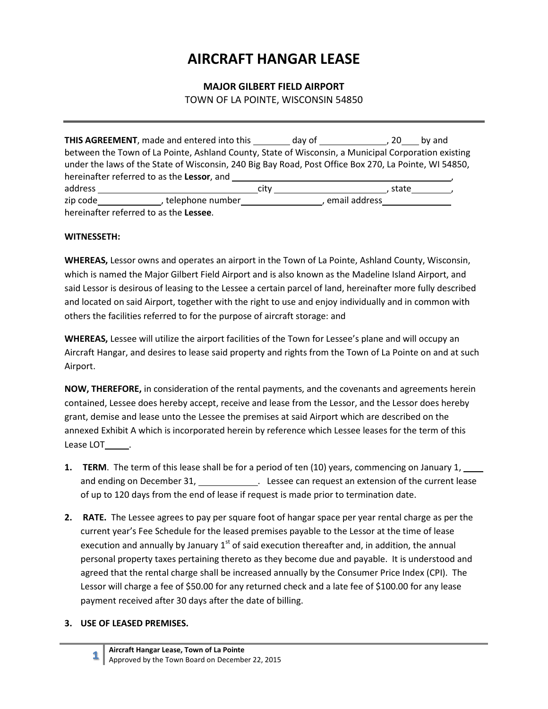# AIRCRAFT HANGAR LEASE

## MAJOR GILBERT FIELD AIRPORT

TOWN OF LA POINTE, WISCONSIN 54850

|                                                                                                       | <b>THIS AGREEMENT</b> , made and entered into this _________ day of ______________, 20____ by and |      |                 |  |  |
|-------------------------------------------------------------------------------------------------------|---------------------------------------------------------------------------------------------------|------|-----------------|--|--|
| between the Town of La Pointe, Ashland County, State of Wisconsin, a Municipal Corporation existing   |                                                                                                   |      |                 |  |  |
| under the laws of the State of Wisconsin, 240 Big Bay Road, Post Office Box 270, La Pointe, WI 54850, |                                                                                                   |      |                 |  |  |
| hereinafter referred to as the Lessor, and                                                            |                                                                                                   |      |                 |  |  |
| address                                                                                               |                                                                                                   | citv | state           |  |  |
|                                                                                                       | telephone number                                                                                  |      | , email address |  |  |
| hereinafter referred to as the Lessee.                                                                |                                                                                                   |      |                 |  |  |

#### WITNESSETH:

WHEREAS, Lessor owns and operates an airport in the Town of La Pointe, Ashland County, Wisconsin, which is named the Major Gilbert Field Airport and is also known as the Madeline Island Airport, and said Lessor is desirous of leasing to the Lessee a certain parcel of land, hereinafter more fully described and located on said Airport, together with the right to use and enjoy individually and in common with others the facilities referred to for the purpose of aircraft storage: and

WHEREAS, Lessee will utilize the airport facilities of the Town for Lessee's plane and will occupy an Aircraft Hangar, and desires to lease said property and rights from the Town of La Pointe on and at such Airport.

NOW, THEREFORE, in consideration of the rental payments, and the covenants and agreements herein contained, Lessee does hereby accept, receive and lease from the Lessor, and the Lessor does hereby grant, demise and lease unto the Lessee the premises at said Airport which are described on the annexed Exhibit A which is incorporated herein by reference which Lessee leases for the term of this Lease LOT .

- 1. TERM. The term of this lease shall be for a period of ten (10) years, commencing on January 1, and ending on December 31, \_\_\_\_\_\_\_\_\_\_\_\_\_. Lessee can request an extension of the current lease of up to 120 days from the end of lease if request is made prior to termination date.
- 2. RATE. The Lessee agrees to pay per square foot of hangar space per year rental charge as per the current year's Fee Schedule for the leased premises payable to the Lessor at the time of lease execution and annually by January  $1<sup>st</sup>$  of said execution thereafter and, in addition, the annual personal property taxes pertaining thereto as they become due and payable. It is understood and agreed that the rental charge shall be increased annually by the Consumer Price Index (CPI). The Lessor will charge a fee of \$50.00 for any returned check and a late fee of \$100.00 for any lease payment received after 30 days after the date of billing.

#### 3. USE OF LEASED PREMISES.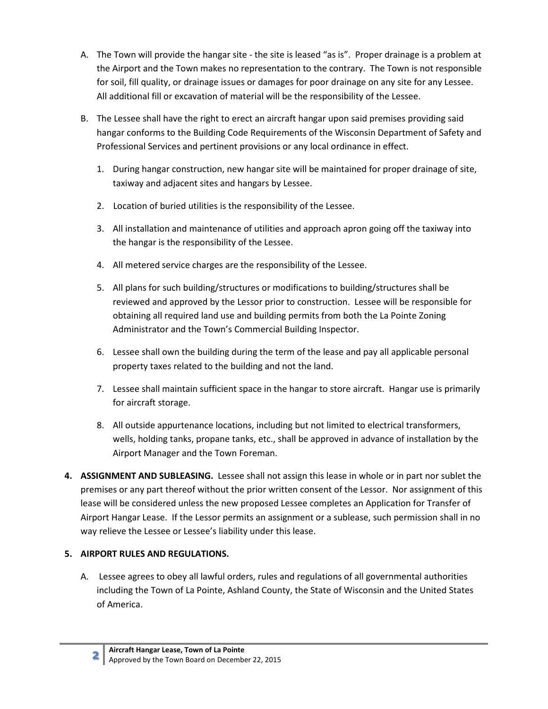- A. The Town will provide the hangar site the site is leased "as is". Proper drainage is a problem at the Airport and the Town makes no representation to the contrary. The Town is not responsible for soil, fill quality, or drainage issues or damages for poor drainage on any site for any Lessee. All additional fill or excavation of material will be the responsibility of the Lessee.
- B. The Lessee shall have the right to erect an aircraft hangar upon said premises providing said hangar conforms to the Building Code Requirements of the Wisconsin Department of Safety and Professional Services and pertinent provisions or any local ordinance in effect.
	- 1. During hangar construction, new hangar site will be maintained for proper drainage of site, taxiway and adjacent sites and hangars by Lessee.
	- 2. Location of buried utilities is the responsibility of the Lessee.
	- 3. All installation and maintenance of utilities and approach apron going off the taxiway into the hangar is the responsibility of the Lessee.
	- 4. All metered service charges are the responsibility of the Lessee.
	- 5. All plans for such building/structures or modifications to building/structures shall be reviewed and approved by the Lessor prior to construction. Lessee will be responsible for obtaining all required land use and building permits from both the La Pointe Zoning Administrator and the Town's Commercial Building Inspector.
	- 6. Lessee shall own the building during the term of the lease and pay all applicable personal property taxes related to the building and not the land.
	- 7. Lessee shall maintain sufficient space in the hangar to store aircraft. Hangar use is primarily for aircraft storage.
	- 8. All outside appurtenance locations, including but not limited to electrical transformers, wells, holding tanks, propane tanks, etc., shall be approved in advance of installation by the Airport Manager and the Town Foreman.
- 4. ASSIGNMENT AND SUBLEASING. Lessee shall not assign this lease in whole or in part nor sublet the premises or any part thereof without the prior written consent of the Lessor. Nor assignment of this lease will be considered unless the new proposed Lessee completes an Application for Transfer of Airport Hangar Lease. If the Lessor permits an assignment or a sublease, such permission shall in no way relieve the Lessee or Lessee's liability under this lease.

# 5. AIRPORT RULES AND REGULATIONS.

A. Lessee agrees to obey all lawful orders, rules and regulations of all governmental authorities including the Town of La Pointe, Ashland County, the State of Wisconsin and the United States of America.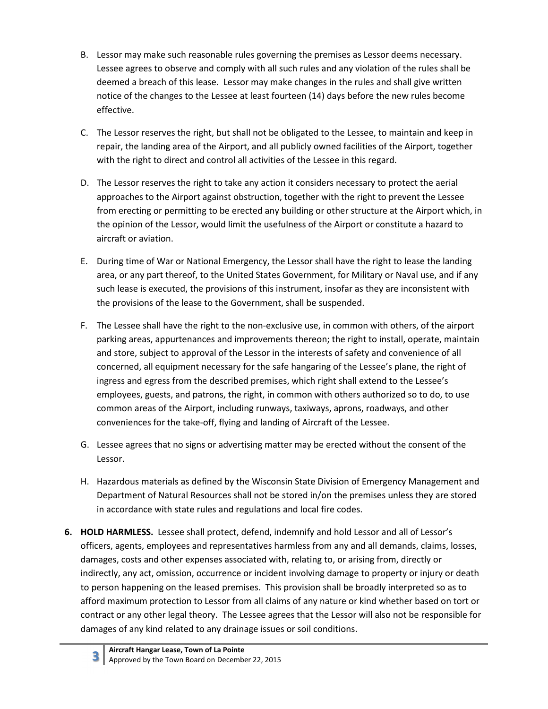- B. Lessor may make such reasonable rules governing the premises as Lessor deems necessary. Lessee agrees to observe and comply with all such rules and any violation of the rules shall be deemed a breach of this lease. Lessor may make changes in the rules and shall give written notice of the changes to the Lessee at least fourteen (14) days before the new rules become effective.
- C. The Lessor reserves the right, but shall not be obligated to the Lessee, to maintain and keep in repair, the landing area of the Airport, and all publicly owned facilities of the Airport, together with the right to direct and control all activities of the Lessee in this regard.
- D. The Lessor reserves the right to take any action it considers necessary to protect the aerial approaches to the Airport against obstruction, together with the right to prevent the Lessee from erecting or permitting to be erected any building or other structure at the Airport which, in the opinion of the Lessor, would limit the usefulness of the Airport or constitute a hazard to aircraft or aviation.
- E. During time of War or National Emergency, the Lessor shall have the right to lease the landing area, or any part thereof, to the United States Government, for Military or Naval use, and if any such lease is executed, the provisions of this instrument, insofar as they are inconsistent with the provisions of the lease to the Government, shall be suspended.
- F. The Lessee shall have the right to the non-exclusive use, in common with others, of the airport parking areas, appurtenances and improvements thereon; the right to install, operate, maintain and store, subject to approval of the Lessor in the interests of safety and convenience of all concerned, all equipment necessary for the safe hangaring of the Lessee's plane, the right of ingress and egress from the described premises, which right shall extend to the Lessee's employees, guests, and patrons, the right, in common with others authorized so to do, to use common areas of the Airport, including runways, taxiways, aprons, roadways, and other conveniences for the take-off, flying and landing of Aircraft of the Lessee.
- G. Lessee agrees that no signs or advertising matter may be erected without the consent of the Lessor.
- H. Hazardous materials as defined by the Wisconsin State Division of Emergency Management and Department of Natural Resources shall not be stored in/on the premises unless they are stored in accordance with state rules and regulations and local fire codes.
- 6. HOLD HARMLESS. Lessee shall protect, defend, indemnify and hold Lessor and all of Lessor's officers, agents, employees and representatives harmless from any and all demands, claims, losses, damages, costs and other expenses associated with, relating to, or arising from, directly or indirectly, any act, omission, occurrence or incident involving damage to property or injury or death to person happening on the leased premises. This provision shall be broadly interpreted so as to afford maximum protection to Lessor from all claims of any nature or kind whether based on tort or contract or any other legal theory. The Lessee agrees that the Lessor will also not be responsible for damages of any kind related to any drainage issues or soil conditions.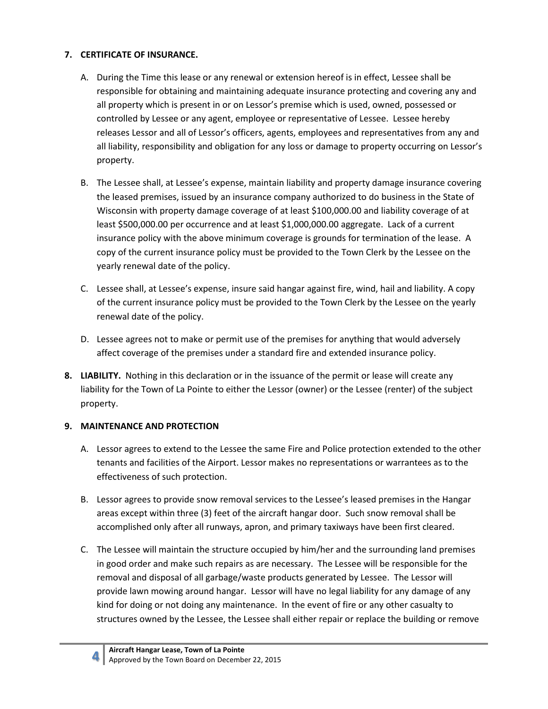## 7. CERTIFICATE OF INSURANCE.

- A. During the Time this lease or any renewal or extension hereof is in effect, Lessee shall be responsible for obtaining and maintaining adequate insurance protecting and covering any and all property which is present in or on Lessor's premise which is used, owned, possessed or controlled by Lessee or any agent, employee or representative of Lessee. Lessee hereby releases Lessor and all of Lessor's officers, agents, employees and representatives from any and all liability, responsibility and obligation for any loss or damage to property occurring on Lessor's property.
- B. The Lessee shall, at Lessee's expense, maintain liability and property damage insurance covering the leased premises, issued by an insurance company authorized to do business in the State of Wisconsin with property damage coverage of at least \$100,000.00 and liability coverage of at least \$500,000.00 per occurrence and at least \$1,000,000.00 aggregate. Lack of a current insurance policy with the above minimum coverage is grounds for termination of the lease. A copy of the current insurance policy must be provided to the Town Clerk by the Lessee on the yearly renewal date of the policy.
- C. Lessee shall, at Lessee's expense, insure said hangar against fire, wind, hail and liability. A copy of the current insurance policy must be provided to the Town Clerk by the Lessee on the yearly renewal date of the policy.
- D. Lessee agrees not to make or permit use of the premises for anything that would adversely affect coverage of the premises under a standard fire and extended insurance policy.
- 8. LIABILITY. Nothing in this declaration or in the issuance of the permit or lease will create any liability for the Town of La Pointe to either the Lessor (owner) or the Lessee (renter) of the subject property.

### 9. MAINTENANCE AND PROTECTION

- A. Lessor agrees to extend to the Lessee the same Fire and Police protection extended to the other tenants and facilities of the Airport. Lessor makes no representations or warrantees as to the effectiveness of such protection.
- B. Lessor agrees to provide snow removal services to the Lessee's leased premises in the Hangar areas except within three (3) feet of the aircraft hangar door. Such snow removal shall be accomplished only after all runways, apron, and primary taxiways have been first cleared.
- C. The Lessee will maintain the structure occupied by him/her and the surrounding land premises in good order and make such repairs as are necessary. The Lessee will be responsible for the removal and disposal of all garbage/waste products generated by Lessee. The Lessor will provide lawn mowing around hangar. Lessor will have no legal liability for any damage of any kind for doing or not doing any maintenance. In the event of fire or any other casualty to structures owned by the Lessee, the Lessee shall either repair or replace the building or remove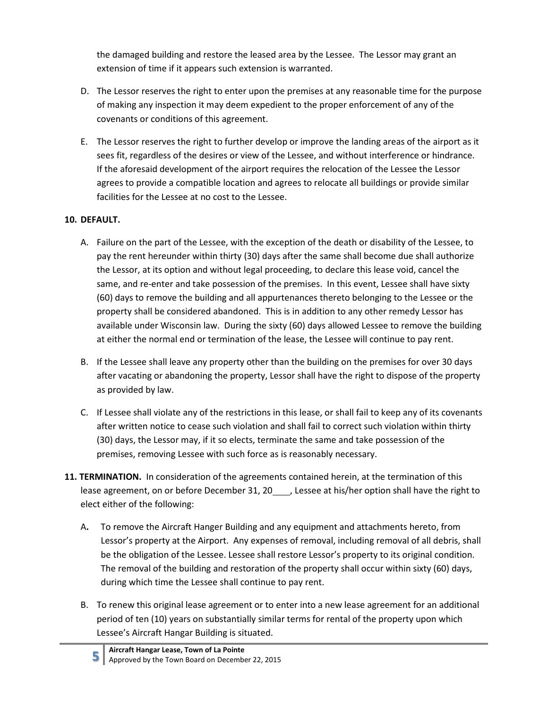the damaged building and restore the leased area by the Lessee. The Lessor may grant an extension of time if it appears such extension is warranted.

- D. The Lessor reserves the right to enter upon the premises at any reasonable time for the purpose of making any inspection it may deem expedient to the proper enforcement of any of the covenants or conditions of this agreement.
- E. The Lessor reserves the right to further develop or improve the landing areas of the airport as it sees fit, regardless of the desires or view of the Lessee, and without interference or hindrance. If the aforesaid development of the airport requires the relocation of the Lessee the Lessor agrees to provide a compatible location and agrees to relocate all buildings or provide similar facilities for the Lessee at no cost to the Lessee.

# 10. DEFAULT.

- A. Failure on the part of the Lessee, with the exception of the death or disability of the Lessee, to pay the rent hereunder within thirty (30) days after the same shall become due shall authorize the Lessor, at its option and without legal proceeding, to declare this lease void, cancel the same, and re-enter and take possession of the premises. In this event, Lessee shall have sixty (60) days to remove the building and all appurtenances thereto belonging to the Lessee or the property shall be considered abandoned. This is in addition to any other remedy Lessor has available under Wisconsin law. During the sixty (60) days allowed Lessee to remove the building at either the normal end or termination of the lease, the Lessee will continue to pay rent.
- B. If the Lessee shall leave any property other than the building on the premises for over 30 days after vacating or abandoning the property, Lessor shall have the right to dispose of the property as provided by law.
- C. If Lessee shall violate any of the restrictions in this lease, or shall fail to keep any of its covenants after written notice to cease such violation and shall fail to correct such violation within thirty (30) days, the Lessor may, if it so elects, terminate the same and take possession of the premises, removing Lessee with such force as is reasonably necessary.
- 11. TERMINATION. In consideration of the agreements contained herein, at the termination of this lease agreement, on or before December 31, 20 , Lessee at his/her option shall have the right to elect either of the following:
	- A. To remove the Aircraft Hanger Building and any equipment and attachments hereto, from Lessor's property at the Airport. Any expenses of removal, including removal of all debris, shall be the obligation of the Lessee. Lessee shall restore Lessor's property to its original condition. The removal of the building and restoration of the property shall occur within sixty (60) days, during which time the Lessee shall continue to pay rent.
	- B. To renew this original lease agreement or to enter into a new lease agreement for an additional period of ten (10) years on substantially similar terms for rental of the property upon which Lessee's Aircraft Hangar Building is situated.